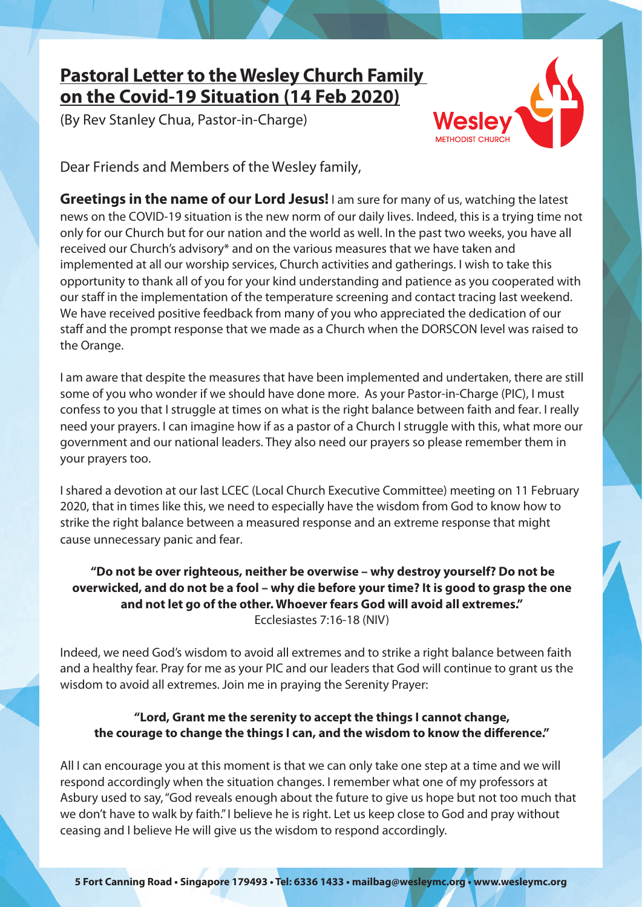## **Pastoral Letter to the Wesley Church Family on the Covid-19 Situation (14 Feb 2020)**

(By Rev Stanley Chua, Pastor-in-Charge)



Dear Friends and Members of the Wesley family,

**Greetings in the name of our Lord Jesus!** I am sure for many of us, watching the latest news on the COVID-19 situation is the new norm of our daily lives. Indeed, this is a trying time not only for our Church but for our nation and the world as well. In the past two weeks, you have all received our Church's advisory\* and on the various measures that we have taken and implemented at all our worship services, Church activities and gatherings. I wish to take this opportunity to thank all of you for your kind understanding and patience as you cooperated with our staff in the implementation of the temperature screening and contact tracing last weekend. We have received positive feedback from many of you who appreciated the dedication of our staff and the prompt response that we made as a Church when the DORSCON level was raised to the Orange.

I am aware that despite the measures that have been implemented and undertaken, there are still some of you who wonder if we should have done more. As your Pastor-in-Charge (PIC), I must confess to you that I struggle at times on what is the right balance between faith and fear. I really need your prayers. I can imagine how if as a pastor of a Church I struggle with this, what more our government and our national leaders. They also need our prayers so please remember them in your prayers too.

I shared a devotion at our last LCEC (Local Church Executive Committee) meeting on 11 February 2020, that in times like this, we need to especially have the wisdom from God to know how to strike the right balance between a measured response and an extreme response that might cause unnecessary panic and fear.

## **"Do not be over righteous, neither be overwise – why destroy yourself? Do not be overwicked, and do not be a fool – why die before your time? It is good to grasp the one and not let go of the other. Whoever fears God will avoid all extremes."** Ecclesiastes 7:16-18 (NIV)

Indeed, we need God's wisdom to avoid all extremes and to strike a right balance between faith and a healthy fear. Pray for me as your PIC and our leaders that God will continue to grant us the wisdom to avoid all extremes. Join me in praying the Serenity Prayer:

## **"Lord, Grant me the serenity to accept the things I cannot change, the courage to change the things I can, and the wisdom to know the difference."**

All I can encourage you at this moment is that we can only take one step at a time and we will respond accordingly when the situation changes. I remember what one of my professors at Asbury used to say, "God reveals enough about the future to give us hope but not too much that we don't have to walk by faith." I believe he is right. Let us keep close to God and pray without ceasing and I believe He will give us the wisdom to respond accordingly.